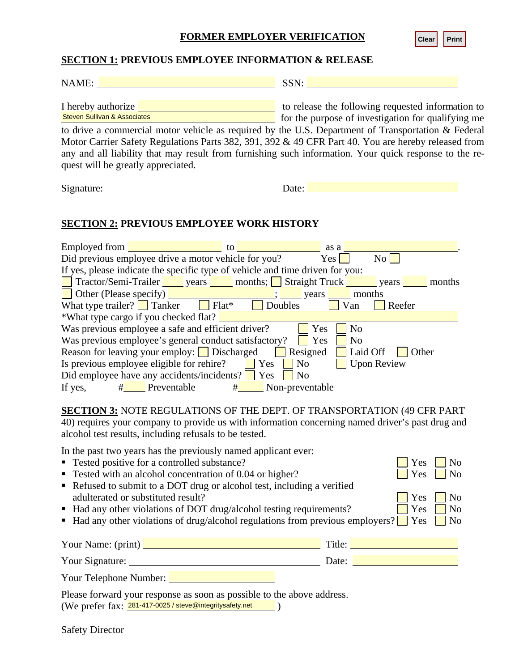## **FORMER EMPLOYER VERIFICATION**

## **SECTION 1: PREVIOUS EMPLOYEE INFORMATION & RELEASE**

| NAME:                                                                                                                                                                                                                                                                                                                                                                                                                                                                                                                                                                                                              | SSN: New York SSN:                                                                                                                                                                                                                                                                                                                                                                                                                                                 |
|--------------------------------------------------------------------------------------------------------------------------------------------------------------------------------------------------------------------------------------------------------------------------------------------------------------------------------------------------------------------------------------------------------------------------------------------------------------------------------------------------------------------------------------------------------------------------------------------------------------------|--------------------------------------------------------------------------------------------------------------------------------------------------------------------------------------------------------------------------------------------------------------------------------------------------------------------------------------------------------------------------------------------------------------------------------------------------------------------|
| - Indiana<br>Steven Sullivan & Associates<br>quest will be greatly appreciated.                                                                                                                                                                                                                                                                                                                                                                                                                                                                                                                                    | I hereby authorize <b>example 2</b> to release the following requested information to<br>for the purpose of investigation for qualifying me<br>to drive a commercial motor vehicle as required by the U.S. Department of Transportation & Federal<br>Motor Carrier Safety Regulations Parts 382, 391, 392 & 49 CFR Part 40. You are hereby released from<br>any and all liability that may result from furnishing such information. Your quick response to the re- |
|                                                                                                                                                                                                                                                                                                                                                                                                                                                                                                                                                                                                                    |                                                                                                                                                                                                                                                                                                                                                                                                                                                                    |
| <b>SECTION 2: PREVIOUS EMPLOYEE WORK HISTORY</b>                                                                                                                                                                                                                                                                                                                                                                                                                                                                                                                                                                   |                                                                                                                                                                                                                                                                                                                                                                                                                                                                    |
| Employed from $\frac{1}{\sqrt{1-\frac{1}{2}}\sqrt{1-\frac{1}{2}}\sqrt{1-\frac{1}{2}}\sqrt{1-\frac{1}{2}}}}$ to $\frac{1}{\sqrt{1-\frac{1}{2}}\sqrt{1-\frac{1}{2}}\sqrt{1-\frac{1}{2}}\sqrt{1-\frac{1}{2}}\sqrt{1-\frac{1}{2}}\sqrt{1-\frac{1}{2}}\sqrt{1-\frac{1}{2}}\sqrt{1-\frac{1}{2}}\sqrt{1-\frac{1}{2}}\sqrt{1-\frac{1}{2}}\sqrt{1-\frac{1}{2}}\sqrt{1-\frac{1}{2}}\sqrt{1-\frac{1}{2}}\sqrt$<br>If yes, please indicate the specific type of vehicle and time driven for you:<br>□ Other (Please specify)<br>What type trailer? ■ Tanker ■ Flat* ■ Doubles ■ Van ■<br>*What type cargo if you checked flat? | No<br>Tractor/Semi-Trailer vears months; Straight Truck years years months<br>$\Box$ Reefer                                                                                                                                                                                                                                                                                                                                                                        |
| Was previous employee a safe and efficient driver?<br>Was previous employee's general conduct satisfactory? $\Box$ Yes $\Box$ No<br>Reason for leaving your employ: $\Box$ Discharged $\Box$<br>Is previous employee eligible for rehire? $\Box$ Yes<br>Did employee have any accidents/incidents? $\Box$ Yes $\Box$<br>If yes, $\#$ Preventable $\#$ Non-preventable                                                                                                                                                                                                                                              | Yes<br>N <sub>o</sub><br>Resigned<br>  Laid Off   Other<br>Upon Review<br>N <sub>o</sub><br>N <sub>0</sub>                                                                                                                                                                                                                                                                                                                                                         |
| alcohol test results, including refusals to be tested.                                                                                                                                                                                                                                                                                                                                                                                                                                                                                                                                                             | <b>SECTION 3: NOTE REGULATIONS OF THE DEPT. OF TRANSPORTATION (49 CFR PART</b><br>40) requires your company to provide us with information concerning named driver's past drug and                                                                                                                                                                                                                                                                                 |
| In the past two years has the previously named applicant ever:<br>• Tested positive for a controlled substance?<br>• Tested with an alcohol concentration of 0.04 or higher?<br>Refused to submit to a DOT drug or alcohol test, including a verified                                                                                                                                                                                                                                                                                                                                                              | N <sub>o</sub><br>Yes<br>Yes<br>N <sub>o</sub><br>N <sub>o</sub><br>Yes<br>Yes<br>N <sub>0</sub>                                                                                                                                                                                                                                                                                                                                                                   |
| adulterated or substituted result?<br>• Had any other violations of DOT drug/alcohol testing requirements?                                                                                                                                                                                                                                                                                                                                                                                                                                                                                                         | $\blacksquare$ Had any other violations of drug/alcohol regulations from previous employers?<br>Yes<br>N <sub>0</sub>                                                                                                                                                                                                                                                                                                                                              |
|                                                                                                                                                                                                                                                                                                                                                                                                                                                                                                                                                                                                                    | Your Name: (print) <u>New Your Name: (print)</u> New Your Name: (print)                                                                                                                                                                                                                                                                                                                                                                                            |

- **Tested positive for a controlled substance?**  $\Box$  Yes  $\Box$  No
- **Tested with an alcohol concentration of 0.04 or higher?** Yes  $\Box$  Yes  $\Box$  No
- Refused to submit to a DOT drug or alcohol test, including a verified adulterated or substituted result? Yes No
- **Had any other violations of DOT drug/alcohol testing requirements?**  $\Box$  Yes  $\Box$  No
- **Had any other violations of drug/alcohol regulations from previous employers?**  $\Box$  Yes  $\Box$  No

| Your Name: (print) | Title: |
|--------------------|--------|
| Your Signature:    | Date:  |

Please forward your response as soon as possible to the above address. (We prefer fax: 281-417-0025 / steve@integritysafety.net

Safety Director